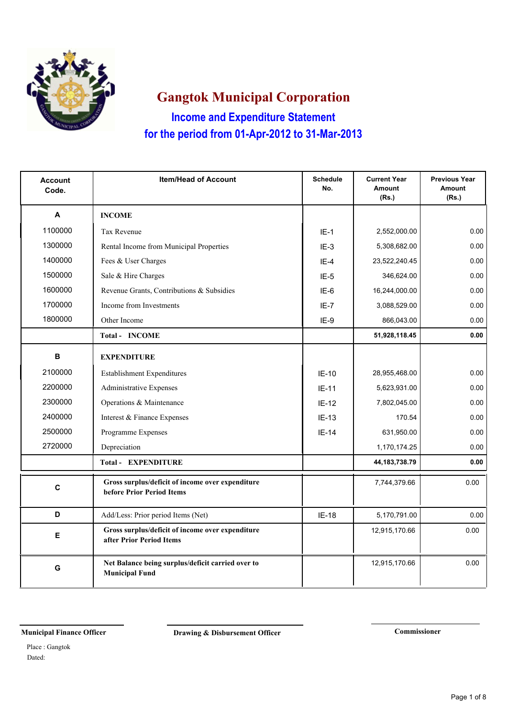

**Income and Expenditure Statement Gangtok Municipal Corporation for the period from 01-Apr-2012 to 31-Mar-2013**

| <b>Account</b><br>Code. | <b>Item/Head of Account</b>                                                   | <b>Schedule</b><br>No. | <b>Current Year</b><br><b>Amount</b><br>(Rs.) | <b>Previous Year</b><br><b>Amount</b><br>(Rs.) |
|-------------------------|-------------------------------------------------------------------------------|------------------------|-----------------------------------------------|------------------------------------------------|
| A                       | <b>INCOME</b>                                                                 |                        |                                               |                                                |
| 1100000                 | <b>Tax Revenue</b>                                                            | $IE-1$                 | 2,552,000.00                                  | 0.00                                           |
| 1300000                 | Rental Income from Municipal Properties                                       | $IE-3$                 | 5,308,682.00                                  | 0.00                                           |
| 1400000                 | Fees & User Charges                                                           | $IE-4$                 | 23,522,240.45                                 | 0.00                                           |
| 1500000                 | Sale & Hire Charges                                                           | $IE-5$                 | 346,624.00                                    | 0.00                                           |
| 1600000                 | Revenue Grants, Contributions & Subsidies                                     | IE-6                   | 16,244,000.00                                 | 0.00                                           |
| 1700000                 | Income from Investments                                                       | $IE-7$                 | 3,088,529.00                                  | 0.00                                           |
| 1800000                 | Other Income                                                                  | IE-9                   | 866,043.00                                    | 0.00                                           |
|                         | Total - INCOME                                                                |                        | 51,928,118.45                                 | 0.00                                           |
| в                       | <b>EXPENDITURE</b>                                                            |                        |                                               |                                                |
| 2100000                 | <b>Establishment Expenditures</b>                                             | $IE-10$                | 28,955,468.00                                 | 0.00                                           |
| 2200000                 | Administrative Expenses                                                       | $IE-11$                | 5,623,931.00                                  | 0.00                                           |
| 2300000                 | Operations & Maintenance                                                      | $IE-12$                | 7,802,045.00                                  | 0.00                                           |
| 2400000                 | Interest & Finance Expenses                                                   | $IE-13$                | 170.54                                        | 0.00                                           |
| 2500000                 | Programme Expenses                                                            | $IE-14$                | 631,950.00                                    | 0.00                                           |
| 2720000                 | Depreciation                                                                  |                        | 1,170,174.25                                  | 0.00                                           |
|                         | <b>Total - EXPENDITURE</b>                                                    |                        | 44, 183, 738. 79                              | 0.00                                           |
| $\mathbf c$             | Gross surplus/deficit of income over expenditure<br>before Prior Period Items |                        | 7,744,379.66                                  | 0.00                                           |
| D                       | Add/Less: Prior period Items (Net)                                            | IE-18                  | 5,170,791.00                                  | 0.00                                           |
| E                       | Gross surplus/deficit of income over expenditure<br>after Prior Period Items  |                        | 12,915,170.66                                 | 0.00                                           |
| G                       | Net Balance being surplus/deficit carried over to<br><b>Municipal Fund</b>    |                        | 12,915,170.66                                 | 0.00                                           |

**Municipal Finance Officer Drawing & Disbursement Officer Commissioner** 

Dated: Place : Gangtok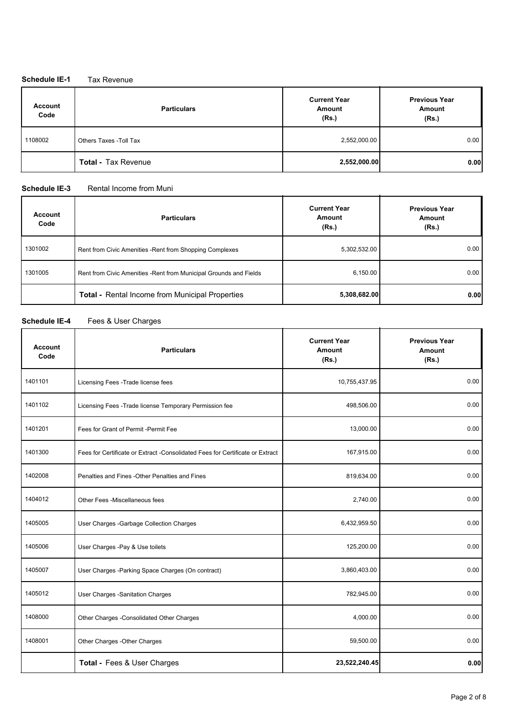#### **Schedule IE-1** Tax Revenue

| <b>Account</b><br>Code | <b>Particulars</b>         | <b>Current Year</b><br>Amount<br>(Rs.) | <b>Previous Year</b><br>Amount<br>(Rs.) |
|------------------------|----------------------------|----------------------------------------|-----------------------------------------|
| 1108002                | Others Taxes - Toll Tax    | 2,552,000.00                           | 0.00                                    |
|                        | <b>Total - Tax Revenue</b> | 2,552,000.00                           | 0.00                                    |

#### **Schedule IE-3** Rental Income from Muni

| <b>Account</b><br>Code | <b>Particulars</b>                                                 | <b>Current Year</b><br>Amount<br>(Rs.) | <b>Previous Year</b><br><b>Amount</b><br>(Rs.) |
|------------------------|--------------------------------------------------------------------|----------------------------------------|------------------------------------------------|
| 1301002                | Rent from Civic Amenities - Rent from Shopping Complexes           | 5,302,532.00                           | 0.00                                           |
| 1301005                | Rent from Civic Amenities - Rent from Municipal Grounds and Fields | 6,150.00                               | 0.00                                           |
|                        | Total - Rental Income from Municipal Properties                    | 5,308,682.00                           | 0.00                                           |

### **Schedule IE-4** Fees & User Charges

| <b>Account</b><br>Code | <b>Particulars</b>                                                             | <b>Current Year</b><br><b>Amount</b><br>(Rs.) | <b>Previous Year</b><br>Amount<br>(Rs.) |
|------------------------|--------------------------------------------------------------------------------|-----------------------------------------------|-----------------------------------------|
| 1401101                | Licensing Fees - Trade license fees                                            | 10,755,437.95                                 | 0.00                                    |
| 1401102                | Licensing Fees - Trade license Temporary Permission fee                        | 498,506.00                                    | 0.00                                    |
| 1401201                | Fees for Grant of Permit - Permit Fee                                          | 13,000.00                                     | 0.00                                    |
| 1401300                | Fees for Certificate or Extract - Consolidated Fees for Certificate or Extract | 167,915.00                                    | 0.00                                    |
| 1402008                | Penalties and Fines - Other Penalties and Fines                                | 819,634.00                                    | 0.00                                    |
| 1404012                | Other Fees - Miscellaneous fees                                                | 2,740.00                                      | 0.00                                    |
| 1405005                | User Charges - Garbage Collection Charges                                      | 6,432,959.50                                  | 0.00                                    |
| 1405006                | User Charges -Pay & Use toilets                                                | 125,200.00                                    | 0.00                                    |
| 1405007                | User Charges - Parking Space Charges (On contract)                             | 3,860,403.00                                  | 0.00                                    |
| 1405012                | User Charges -Sanitation Charges                                               | 782,945.00                                    | 0.00                                    |
| 1408000                | Other Charges -Consolidated Other Charges                                      | 4,000.00                                      | 0.00                                    |
| 1408001                | Other Charges - Other Charges                                                  | 59,500.00                                     | 0.00                                    |
|                        | Total - Fees & User Charges                                                    | 23,522,240.45                                 | 0.00                                    |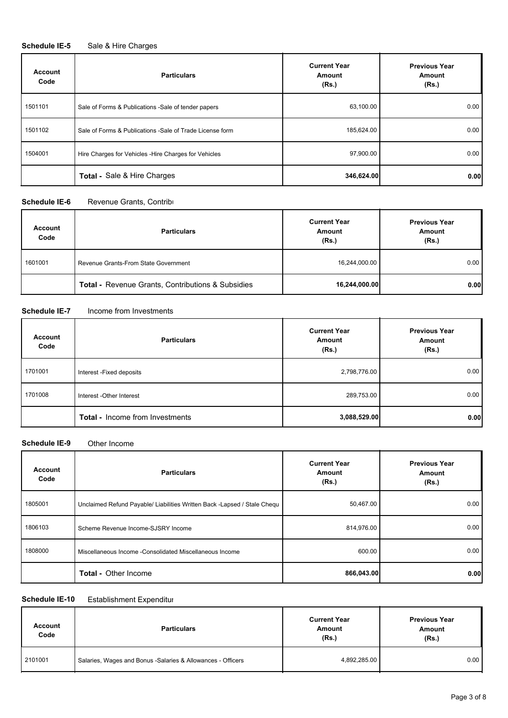### **Schedule IE-5** Sale & Hire Charges

| <b>Account</b><br>Code | <b>Particulars</b>                                        | <b>Current Year</b><br>Amount<br>(Rs.) | <b>Previous Year</b><br>Amount<br>(Rs.) |
|------------------------|-----------------------------------------------------------|----------------------------------------|-----------------------------------------|
| 1501101                | Sale of Forms & Publications - Sale of tender papers      | 63,100.00                              | 0.00                                    |
| 1501102                | Sale of Forms & Publications - Sale of Trade License form | 185,624.00                             | 0.00                                    |
| 1504001                | Hire Charges for Vehicles - Hire Charges for Vehicles     | 97,900.00                              | 0.00                                    |
|                        | <b>Total - Sale &amp; Hire Charges</b>                    | 346,624.00                             | 0.00                                    |

#### **Schedule IE-6** Revenue Grants, Contributions

| <b>Account</b><br>Code | <b>Particulars</b>                                           | <b>Current Year</b><br>Amount<br>(Rs.) | <b>Previous Year</b><br>Amount<br>(Rs.) |
|------------------------|--------------------------------------------------------------|----------------------------------------|-----------------------------------------|
| 1601001                | Revenue Grants-From State Government                         | 16,244,000.00                          | 0.00                                    |
|                        | <b>Total - Revenue Grants, Contributions &amp; Subsidies</b> | 16,244,000.00                          | 0.00                                    |

#### **Schedule IE-7** Income from Investments

| <b>Account</b><br>Code | <b>Particulars</b>                     | <b>Current Year</b><br>Amount<br>(Rs.) | <b>Previous Year</b><br>Amount<br>(Rs.) |
|------------------------|----------------------------------------|----------------------------------------|-----------------------------------------|
| 1701001                | Interest - Fixed deposits              | 2,798,776.00                           | 0.00                                    |
| 1701008                | Interest - Other Interest              | 289,753.00                             | 0.00                                    |
|                        | <b>Total - Income from Investments</b> | 3,088,529.00                           | 0.00                                    |

#### **Schedule IE-9** Other Income

| <b>Account</b><br>Code | <b>Particulars</b>                                                        | <b>Current Year</b><br>Amount<br>(Rs.) | <b>Previous Year</b><br>Amount<br>(Rs.) |
|------------------------|---------------------------------------------------------------------------|----------------------------------------|-----------------------------------------|
| 1805001                | Unclaimed Refund Payable/ Liabilities Written Back - Lapsed / Stale Chequ | 50,467.00                              | 0.00                                    |
| 1806103                | Scheme Revenue Income-SJSRY Income                                        | 814,976.00                             | 0.00                                    |
| 1808000                | Miscellaneous Income - Consolidated Miscellaneous Income                  | 600.00                                 | 0.00                                    |
|                        | <b>Total - Other Income</b>                                               | 866,043.00                             | 0.00                                    |

#### **Schedule IE-10** Establishment Expenditure

| <b>Account</b><br>Code | <b>Particulars</b>                                           | <b>Current Year</b><br>Amount<br>(Rs.) | <b>Previous Year</b><br>Amount<br>(Rs.) |
|------------------------|--------------------------------------------------------------|----------------------------------------|-----------------------------------------|
| 2101001                | Salaries, Wages and Bonus - Salaries & Allowances - Officers | 4,892,285.00                           | 0.00                                    |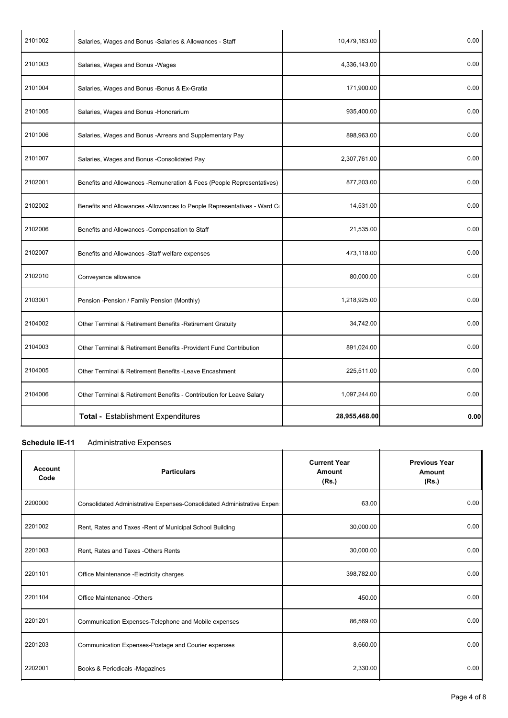| 2101002 | Salaries, Wages and Bonus - Salaries & Allowances - Staff               | 10,479,183.00 | 0.00 |
|---------|-------------------------------------------------------------------------|---------------|------|
| 2101003 | Salaries, Wages and Bonus - Wages                                       | 4,336,143.00  | 0.00 |
| 2101004 | Salaries, Wages and Bonus - Bonus & Ex-Gratia                           | 171,900.00    | 0.00 |
| 2101005 | Salaries, Wages and Bonus - Honorarium                                  | 935,400.00    | 0.00 |
| 2101006 | Salaries, Wages and Bonus - Arrears and Supplementary Pay               | 898,963.00    | 0.00 |
| 2101007 | Salaries, Wages and Bonus - Consolidated Pay                            | 2,307,761.00  | 0.00 |
| 2102001 | Benefits and Allowances - Remuneration & Fees (People Representatives)  | 877,203.00    | 0.00 |
| 2102002 | Benefits and Allowances -Allowances to People Representatives - Ward Co | 14,531.00     | 0.00 |
| 2102006 | Benefits and Allowances - Compensation to Staff                         | 21,535.00     | 0.00 |
| 2102007 | Benefits and Allowances -Staff welfare expenses                         | 473,118.00    | 0.00 |
| 2102010 | Conveyance allowance                                                    | 80,000.00     | 0.00 |
| 2103001 | Pension - Pension / Family Pension (Monthly)                            | 1,218,925.00  | 0.00 |
| 2104002 | Other Terminal & Retirement Benefits - Retirement Gratuity              | 34,742.00     | 0.00 |
| 2104003 | Other Terminal & Retirement Benefits - Provident Fund Contribution      | 891,024.00    | 0.00 |
| 2104005 | Other Terminal & Retirement Benefits - Leave Encashment                 | 225,511.00    | 0.00 |
| 2104006 | Other Terminal & Retirement Benefits - Contribution for Leave Salary    | 1,097,244.00  | 0.00 |
|         | <b>Total - Establishment Expenditures</b>                               | 28,955,468.00 | 0.00 |

### **Schedule IE-11** Administrative Expenses

| <b>Account</b><br>Code | <b>Particulars</b>                                                      | <b>Current Year</b><br>Amount<br>(Rs.) | <b>Previous Year</b><br>Amount<br>(Rs.) |
|------------------------|-------------------------------------------------------------------------|----------------------------------------|-----------------------------------------|
| 2200000                | Consolidated Administrative Expenses-Consolidated Administrative Expen- | 63.00                                  | 0.00                                    |
| 2201002                | Rent, Rates and Taxes - Rent of Municipal School Building               | 30,000.00                              | 0.00                                    |
| 2201003                | Rent. Rates and Taxes - Others Rents                                    | 30,000.00                              | 0.00                                    |
| 2201101                | Office Maintenance - Electricity charges                                | 398,782.00                             | 0.00                                    |
| 2201104                | Office Maintenance -Others                                              | 450.00                                 | 0.00                                    |
| 2201201                | Communication Expenses-Telephone and Mobile expenses                    | 86,569.00                              | 0.00                                    |
| 2201203                | Communication Expenses-Postage and Courier expenses                     | 8,660.00                               | 0.00                                    |
| 2202001                | Books & Periodicals -Magazines                                          | 2,330.00                               | 0.00                                    |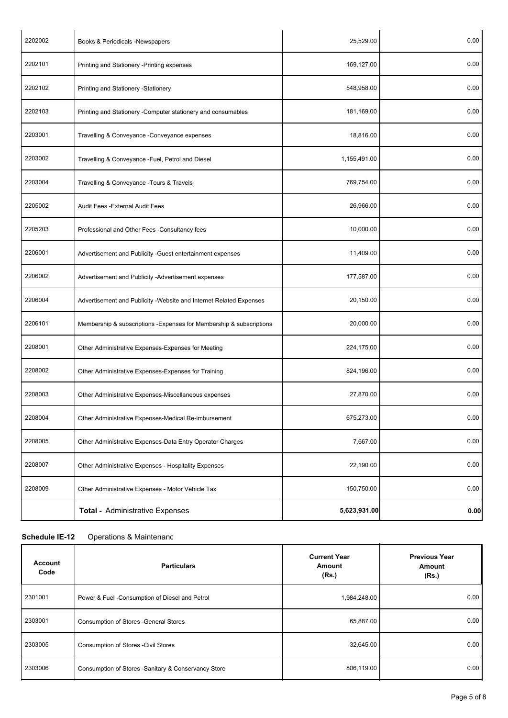| 2202002 | Books & Periodicals -Newspapers                                     | 25,529.00    | 0.00 |
|---------|---------------------------------------------------------------------|--------------|------|
| 2202101 | Printing and Stationery -Printing expenses                          | 169,127.00   | 0.00 |
| 2202102 | Printing and Stationery -Stationery                                 | 548,958.00   | 0.00 |
| 2202103 | Printing and Stationery - Computer stationery and consumables       | 181,169.00   | 0.00 |
| 2203001 | Travelling & Conveyance - Conveyance expenses                       | 18,816.00    | 0.00 |
| 2203002 | Travelling & Conveyance -Fuel, Petrol and Diesel                    | 1,155,491.00 | 0.00 |
| 2203004 | Travelling & Conveyance - Tours & Travels                           | 769,754.00   | 0.00 |
| 2205002 | Audit Fees - External Audit Fees                                    | 26,966.00    | 0.00 |
| 2205203 | Professional and Other Fees - Consultancy fees                      | 10,000.00    | 0.00 |
| 2206001 | Advertisement and Publicity -Guest entertainment expenses           | 11,409.00    | 0.00 |
| 2206002 | Advertisement and Publicity -Advertisement expenses                 | 177,587.00   | 0.00 |
| 2206004 | Advertisement and Publicity - Website and Internet Related Expenses | 20,150.00    | 0.00 |
| 2206101 | Membership & subscriptions -Expenses for Membership & subscriptions | 20,000.00    | 0.00 |
| 2208001 | Other Administrative Expenses-Expenses for Meeting                  | 224,175.00   | 0.00 |
| 2208002 | Other Administrative Expenses-Expenses for Training                 | 824,196.00   | 0.00 |
| 2208003 | Other Administrative Expenses-Miscellaneous expenses                | 27,870.00    | 0.00 |
| 2208004 | Other Administrative Expenses-Medical Re-imbursement                | 675,273.00   | 0.00 |
| 2208005 | Other Administrative Expenses-Data Entry Operator Charges           | 7,667.00     | 0.00 |
| 2208007 | Other Administrative Expenses - Hospitality Expenses                | 22,190.00    | 0.00 |
| 2208009 | Other Administrative Expenses - Motor Vehicle Tax                   | 150,750.00   | 0.00 |
|         | Total - Administrative Expenses                                     | 5,623,931.00 | 0.00 |

### **Schedule IE-12** Operations & Maintenance

| <b>Account</b><br>Code | <b>Particulars</b>                                   | <b>Current Year</b><br>Amount<br>(Rs.) | <b>Previous Year</b><br>Amount<br>(Rs.) |
|------------------------|------------------------------------------------------|----------------------------------------|-----------------------------------------|
| 2301001                | Power & Fuel -Consumption of Diesel and Petrol       | 1,984,248.00                           | 0.00                                    |
| 2303001                | Consumption of Stores - General Stores               | 65,887.00                              | 0.00                                    |
| 2303005                | <b>Consumption of Stores - Civil Stores</b>          | 32,645.00                              | 0.00                                    |
| 2303006                | Consumption of Stores - Sanitary & Conservancy Store | 806,119.00                             | 0.00                                    |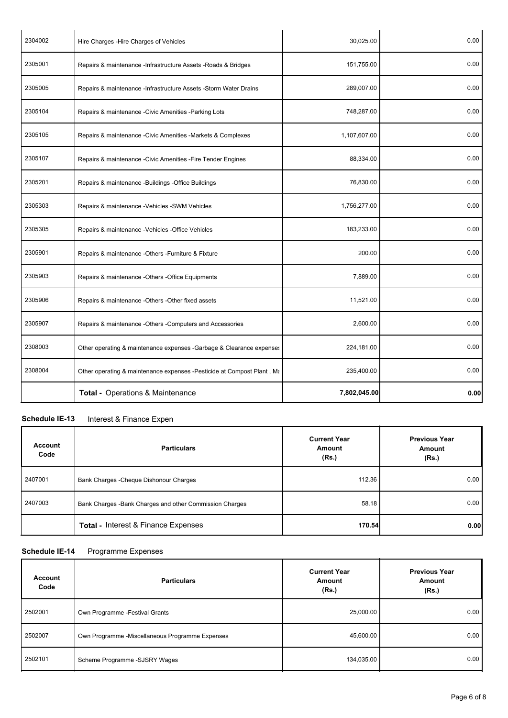| 2304002 | Hire Charges - Hire Charges of Vehicles                                | 30,025.00    | 0.00 |
|---------|------------------------------------------------------------------------|--------------|------|
| 2305001 | Repairs & maintenance -Infrastructure Assets -Roads & Bridges          | 151,755.00   | 0.00 |
| 2305005 | Repairs & maintenance - Infrastructure Assets - Storm Water Drains     | 289,007.00   | 0.00 |
| 2305104 | Repairs & maintenance - Civic Amenities - Parking Lots                 | 748,287.00   | 0.00 |
| 2305105 | Repairs & maintenance - Civic Amenities - Markets & Complexes          | 1,107,607.00 | 0.00 |
| 2305107 | Repairs & maintenance - Civic Amenities - Fire Tender Engines          | 88,334.00    | 0.00 |
| 2305201 | Repairs & maintenance -Buildings -Office Buildings                     | 76,830.00    | 0.00 |
| 2305303 | Repairs & maintenance -Vehicles -SWM Vehicles                          | 1,756,277.00 | 0.00 |
| 2305305 | Repairs & maintenance -Vehicles -Office Vehicles                       | 183,233.00   | 0.00 |
| 2305901 | Repairs & maintenance -Others -Furniture & Fixture                     | 200.00       | 0.00 |
| 2305903 | Repairs & maintenance -Others -Office Equipments                       | 7,889.00     | 0.00 |
| 2305906 | Repairs & maintenance -Others -Other fixed assets                      | 11,521.00    | 0.00 |
| 2305907 | Repairs & maintenance -Others -Computers and Accessories               | 2,600.00     | 0.00 |
| 2308003 | Other operating & maintenance expenses -Garbage & Clearance expenses   | 224,181.00   | 0.00 |
| 2308004 | Other operating & maintenance expenses -Pesticide at Compost Plant, Ma | 235,400.00   | 0.00 |
|         | Total - Operations & Maintenance                                       | 7,802,045.00 | 0.00 |

### **Schedule IE-13** Interest & Finance Expen

| <b>Account</b><br>Code | <b>Particulars</b>                                       | <b>Current Year</b><br>Amount<br>(Rs.) | <b>Previous Year</b><br>Amount<br>(Rs.) |
|------------------------|----------------------------------------------------------|----------------------------------------|-----------------------------------------|
| 2407001                | Bank Charges - Cheque Dishonour Charges                  | 112.36                                 | 0.00                                    |
| 2407003                | Bank Charges - Bank Charges and other Commission Charges | 58.18                                  | 0.00                                    |
|                        | <b>Total - Interest &amp; Finance Expenses</b>           | 170.54                                 | 0.00                                    |

## **Schedule IE-14** Programme Expenses

| <b>Account</b><br>Code | <b>THOSHAMMING</b> EXPOSITORS<br><b>Particulars</b> | <b>Current Year</b><br><b>Amount</b><br>(Rs.) | <b>Previous Year</b><br>Amount<br>(Rs.) |
|------------------------|-----------------------------------------------------|-----------------------------------------------|-----------------------------------------|
| 2502001                | Own Programme - Festival Grants                     | 25,000.00                                     | 0.00                                    |
| 2502007                | Own Programme -Miscellaneous Programme Expenses     | 45,600.00                                     | 0.00                                    |
| 2502101                | Scheme Programme -SJSRY Wages                       | 134,035.00                                    | 0.00                                    |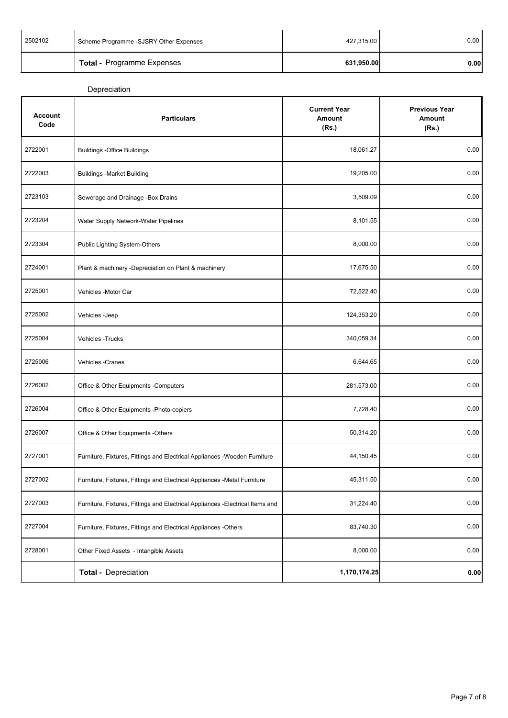| 2502102 | Scheme Programme -SJSRY Other Expenses | 427,315.00 | 0.00  |
|---------|----------------------------------------|------------|-------|
|         | <b>Total - Programme Expenses</b>      | 631,950.00 | 0.001 |

Depreciation

| <b>Account</b><br>Code | <b>Particulars</b>                                                             | <b>Current Year</b><br>Amount<br>(Rs.) | <b>Previous Year</b><br><b>Amount</b><br>(Rs.) |
|------------------------|--------------------------------------------------------------------------------|----------------------------------------|------------------------------------------------|
| 2722001                | <b>Buildings -Office Buildings</b>                                             | 18,061.27                              | 0.00                                           |
| 2722003                | <b>Buildings -Market Building</b>                                              | 19,205.00                              | 0.00                                           |
| 2723103                | Sewerage and Drainage -Box Drains                                              | 3,509.09                               | 0.00                                           |
| 2723204                | Water Supply Network-Water Pipelines                                           | 8,101.55                               | 0.00                                           |
| 2723304                | Public Lighting System-Others                                                  | 8,000.00                               | 0.00                                           |
| 2724001                | Plant & machinery -Depreciation on Plant & machinery                           | 17,675.50                              | 0.00                                           |
| 2725001                | Vehicles -Motor Car                                                            | 72,522.40                              | 0.00                                           |
| 2725002                | Vehicles - Jeep                                                                | 124,353.20                             | 0.00                                           |
| 2725004                | <b>Vehicles - Trucks</b>                                                       | 340,059.34                             | 0.00                                           |
| 2725006                | Vehicles - Cranes                                                              | 6,644.65                               | 0.00                                           |
| 2726002                | Office & Other Equipments -Computers                                           | 281,573.00                             | 0.00                                           |
| 2726004                | Office & Other Equipments - Photo-copiers                                      | 7,728.40                               | 0.00                                           |
| 2726007                | Office & Other Equipments -Others                                              | 50,314.20                              | 0.00                                           |
| 2727001                | Furniture, Fixtures, Fittings and Electrical Appliances - Wooden Furniture     | 44,150.45                              | 0.00                                           |
| 2727002                | Furniture, Fixtures, Fittings and Electrical Appliances -Metal Furniture       | 45,311.50                              | 0.00                                           |
| 2727003                | Furniture, Fixtures, Fittings and Electrical Appliances - Electrical Items and | 31,224.40                              | 0.00                                           |
| 2727004                | Furniture, Fixtures, Fittings and Electrical Appliances -Others                | 83,740.30                              | 0.00                                           |
| 2728001                | Other Fixed Assets - Intangible Assets                                         | 8,000.00                               | 0.00                                           |
|                        | Total - Depreciation                                                           | 1,170,174.25                           | 0.00                                           |